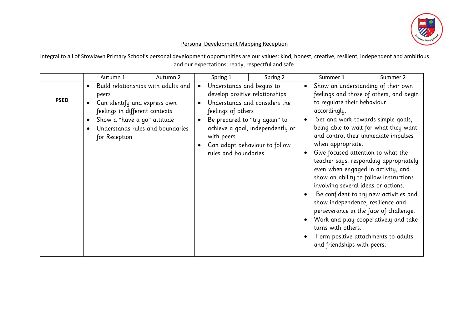

## Personal Development Mapping Reception

Integral to all of Stowlawn Primary School's personal development opportunities are our values: kind, honest, creative, resilient, independent and ambitious and our expectations: ready, respectful and safe.

|             | Autumn 1                                                                                                                                                       | Autumn 2                                                                |           | Spring 1                                                                                                                | Spring 2                                                                                                                            | Summer 1                                                                                                                           | Summer 2                                                                                                                                                                                                                                                                                                                                                                                                                                                                                                                                                                                                            |
|-------------|----------------------------------------------------------------------------------------------------------------------------------------------------------------|-------------------------------------------------------------------------|-----------|-------------------------------------------------------------------------------------------------------------------------|-------------------------------------------------------------------------------------------------------------------------------------|------------------------------------------------------------------------------------------------------------------------------------|---------------------------------------------------------------------------------------------------------------------------------------------------------------------------------------------------------------------------------------------------------------------------------------------------------------------------------------------------------------------------------------------------------------------------------------------------------------------------------------------------------------------------------------------------------------------------------------------------------------------|
| <b>PSED</b> | $\bullet$<br>peers<br>Can identify and express own<br>$\bullet$<br>feelings in different contexts<br>Show a "have a go" attitude<br>$\bullet$<br>for Reception | Build relationships with adults and<br>Understands rules and boundaries | $\bullet$ | Understands and begins to<br>develop positive relationships<br>feelings of others<br>with peers<br>rules and boundaries | Understands and considers the<br>Be prepared to "try again" to<br>achieve a goal, independently or<br>Can adapt behaviour to follow | $\bullet$<br>to regulate their behaviour<br>accordingly.<br>when appropriate.<br>turns with others.<br>and friendships with peers. | Show an understanding of their own<br>feelings and those of others, and begin<br>Set and work towards simple goals,<br>being able to wait for what they want<br>and control their immediate impulses<br>Give focused attention to what the<br>teacher says, responding appropriately<br>even when engaged in activity, and<br>show an ability to follow instructions<br>involving several ideas or actions.<br>Be confident to try new activities and<br>show independence, resilience and<br>perseverance in the face of challenge.<br>Work and play cooperatively and take<br>Form positive attachments to adults |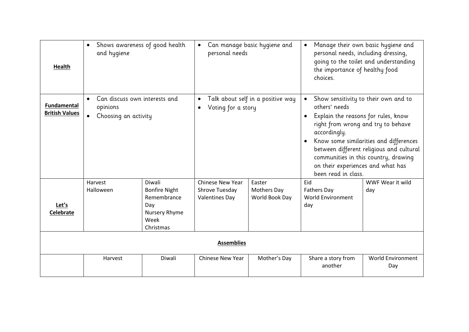| <b>Health</b>                               | Shows awareness of good health<br>$\bullet$<br>and hygiene                                  |                                                                                            | personal needs                                                                    | Can manage basic hygiene and                   | Manage their own basic hygiene and<br>$\bullet$<br>personal needs, including dressing,<br>going to the toilet and understanding<br>the importance of healthy food<br>choices.                                                                                                                                                                |                                 |  |  |
|---------------------------------------------|---------------------------------------------------------------------------------------------|--------------------------------------------------------------------------------------------|-----------------------------------------------------------------------------------|------------------------------------------------|----------------------------------------------------------------------------------------------------------------------------------------------------------------------------------------------------------------------------------------------------------------------------------------------------------------------------------------------|---------------------------------|--|--|
| <b>Fundamental</b><br><b>British Values</b> | Can discuss own interests and<br>$\bullet$<br>opinions<br>Choosing an activity<br>$\bullet$ |                                                                                            | Talk about self in a positive way<br>$\bullet$<br>Voting for a story<br>$\bullet$ |                                                | Show sensitivity to their own and to<br>others' needs<br>Explain the reasons for rules, know<br>right from wrong and try to behave<br>accordingly.<br>Know some similarities and differences<br>between different religious and cultural<br>communities in this country, drawing<br>on their experiences and what has<br>been read in class. |                                 |  |  |
| Let's<br><b>Celebrate</b>                   | Harvest<br>Halloween                                                                        | Diwali<br><b>Bonfire Night</b><br>Remembrance<br>Day<br>Nursery Rhyme<br>Week<br>Christmas | <b>Chinese New Year</b><br>Shrove Tuesday<br><b>Valentines Day</b>                | Easter<br><b>Mothers Day</b><br>World Book Day | Eid<br><b>Fathers Day</b><br>World Environment<br>day                                                                                                                                                                                                                                                                                        | WWF Wear it wild<br>day         |  |  |
| <b>Assemblies</b>                           |                                                                                             |                                                                                            |                                                                                   |                                                |                                                                                                                                                                                                                                                                                                                                              |                                 |  |  |
|                                             | Harvest                                                                                     | Diwali                                                                                     | <b>Chinese New Year</b>                                                           | Mother's Day                                   | Share a story from<br>another                                                                                                                                                                                                                                                                                                                | <b>World Environment</b><br>Day |  |  |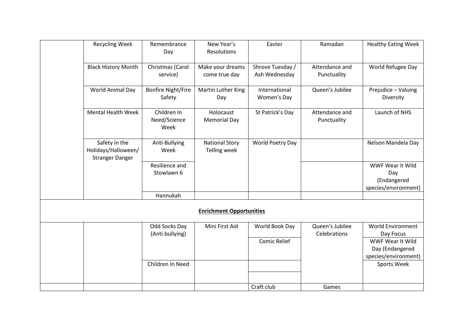| <b>Recycling Week</b>                                          | Remembrance<br>Day                  | New Year's<br><b>Resolutions</b>             | Easter                            | Ramadan                         | <b>Healthy Eating Week</b>                                     |
|----------------------------------------------------------------|-------------------------------------|----------------------------------------------|-----------------------------------|---------------------------------|----------------------------------------------------------------|
| <b>Black History Month</b>                                     | Christmas (Carol<br>service)        | Make your dreams<br>come true day            | Shrove Tuesday /<br>Ash Wednesday | Attendance and<br>Punctuality   | World Refugee Day                                              |
| World Animal Day                                               | <b>Bonfire Night/Fire</b><br>Safety | Martin Luther King<br>Day                    | International<br>Women's Day      | Queen's Jubilee                 | Prejudice - Valuing<br>Diversity                               |
| Mental Health Week                                             | Children In<br>Need/Science<br>Week | Holocaust<br><b>Memorial Day</b>             | St Patrick's Day                  | Attendance and<br>Punctuality   | Launch of NHS                                                  |
| Safety in the<br>Holidays/Halloween/<br><b>Stranger Danger</b> | Anti-Bullying<br>Week               | <b>National Story</b><br><b>Telling week</b> | World Poetry Day                  |                                 | Nelson Mandela Day                                             |
|                                                                | Resilience and<br>Stowlawn 6        |                                              |                                   |                                 | WWF Wear it Wild<br>Day<br>(Endangered<br>species/environment) |
|                                                                | Hannukah                            |                                              |                                   |                                 |                                                                |
|                                                                |                                     | <b>Enrichment Opportunities</b>              |                                   |                                 |                                                                |
|                                                                | Odd Socks Day<br>(Anti-bullying)    | Mini First Aid                               | World Book Day                    | Queen's Jubilee<br>Celebrations | <b>World Environment</b><br>Day Focus                          |
|                                                                |                                     |                                              | Comic Relief                      |                                 | WWF Wear It Wild<br>Day (Endangered<br>species/environment)    |
|                                                                | Children In Need                    |                                              |                                   |                                 | Sports Week                                                    |
|                                                                |                                     |                                              | Craft club                        | Games                           |                                                                |